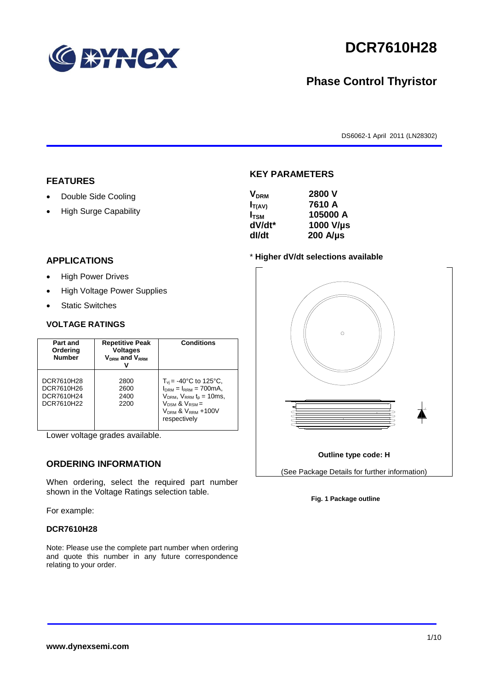

# **DCR7610H28**

# **Phase Control Thyristor**

DS6062-1 April 2011 (LN28302)

### **FEATURES**

- Double Side Cooling
- High Surge Capability

# **KEY PARAMETERS**

| <b>V<sub>DRM</sub></b> | 2800 V           |
|------------------------|------------------|
| $I_{T(AV)}$            | 7610 A           |
| $I_{\text{TSM}}$       | 105000 A         |
| dV/dt*                 | 1000 V/µs        |
| dl/dt                  | $200$ A/ $\mu$ s |
|                        |                  |

### **APPLICATIONS**

- High Power Drives
- High Voltage Power Supplies
- Static Switches

#### **VOLTAGE RATINGS**

| Part and<br>Ordering<br><b>Number</b>                | <b>Repetitive Peak</b><br><b>Voltages</b><br>$V_{DRM}$ and $V_{RRM}$ | <b>Conditions</b>                                                                                                                                                                                   |
|------------------------------------------------------|----------------------------------------------------------------------|-----------------------------------------------------------------------------------------------------------------------------------------------------------------------------------------------------|
| DCR7610H28<br>DCR7610H26<br>DCR7610H24<br>DCR7610H22 | 2800<br>2600<br>2400<br>2200                                         | $T_{vi}$ = -40°C to 125°C,<br>$I_{DRM} = I_{RRM} = 700 \text{mA}$ ,<br>$V_{DRM}$ , $V_{RRM}$ $t_p = 10$ ms,<br>$V_{DSM}$ & $V_{RSM}$ =<br>V <sub>DRM</sub> & V <sub>RRM</sub> +100V<br>respectively |

Lower voltage grades available.

# **ORDERING INFORMATION**

When ordering, select the required part number shown in the Voltage Ratings selection table.

For example:

#### **DCR7610H28**

Note: Please use the complete part number when ordering and quote this number in any future correspondence relating to your order.

#### \* **Higher dV/dt selections available**



#### **Fig. 1 Package outline**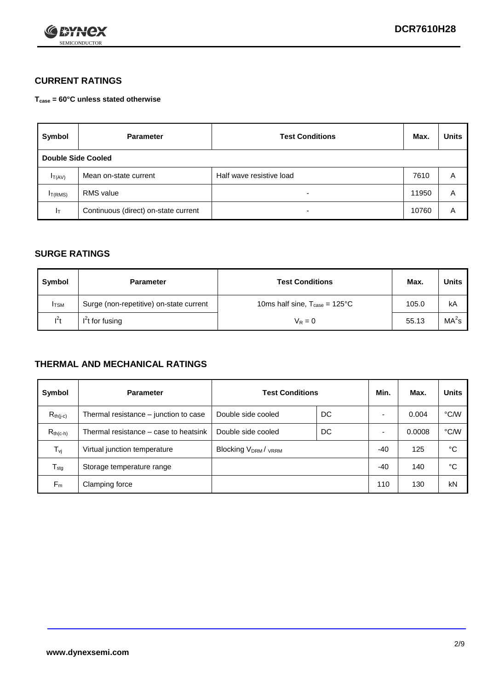

# **CURRENT RATINGS**

**Tcase = 60°C unless stated otherwise**

| Symbol       | <b>Parameter</b>                     | <b>Test Conditions</b>   | Max.  | <b>Units</b> |  |
|--------------|--------------------------------------|--------------------------|-------|--------------|--|
|              | Double Side Cooled                   |                          |       |              |  |
| $I_{T(AV)}$  | Mean on-state current                | Half wave resistive load | 7610  | Α            |  |
| $I_{T(RMS)}$ | RMS value                            | $\overline{\phantom{0}}$ | 11950 | Α            |  |
| Iт           | Continuous (direct) on-state current | $\overline{\phantom{0}}$ | 10760 | Α            |  |

## **SURGE RATINGS**

| Symbol       | <b>Parameter</b>                        | <b>Test Conditions</b>                            | Max.  | <b>Units</b>      |
|--------------|-----------------------------------------|---------------------------------------------------|-------|-------------------|
| <b>I</b> TSM | Surge (non-repetitive) on-state current | 10ms half sine, $T_{\text{case}} = 125^{\circ}$ C | 105.0 | kA                |
| $l^2t$       | $I2t$ for fusing                        | $V_R = 0$                                         | 55.13 | MA <sup>2</sup> s |

## **THERMAL AND MECHANICAL RATINGS**

| Symbol           | <b>Parameter</b>                      | <b>Test Conditions</b>    |    | Min. | Max.   | <b>Units</b> |
|------------------|---------------------------------------|---------------------------|----|------|--------|--------------|
| $R_{th(j-c)}$    | Thermal resistance – junction to case | Double side cooled        | DC |      | 0.004  | °C/W         |
| $R_{th(c-h)}$    | Thermal resistance – case to heatsink | Double side cooled        | DC |      | 0.0008 | °C/W         |
| $T_{\nu j}$      | Virtual junction temperature          | <b>Blocking VDRM/VRRM</b> |    | -40  | 125    | °C           |
| $T_{\text{stg}}$ | Storage temperature range             |                           |    | -40  | 140    | °C           |
| $F_m$            | Clamping force                        |                           |    | 110  | 130    | kN           |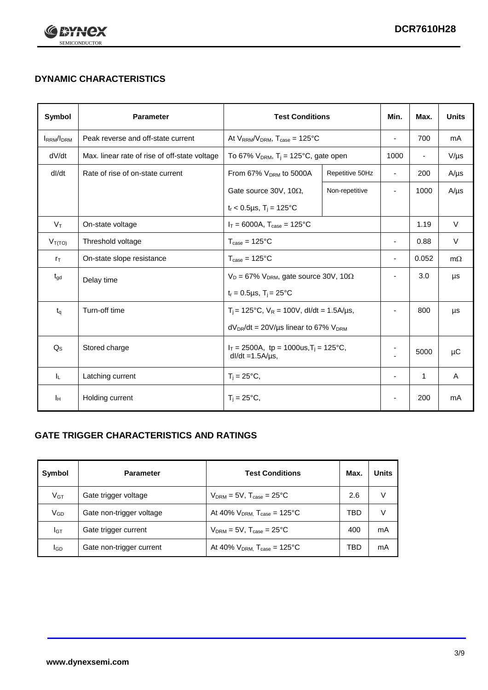

# **DYNAMIC CHARACTERISTICS**

| <b>Symbol</b>     | <b>Parameter</b>                              | <b>Test Conditions</b>                                                          |                 | Min.                     | Max.           | <b>Units</b> |
|-------------------|-----------------------------------------------|---------------------------------------------------------------------------------|-----------------|--------------------------|----------------|--------------|
| <b>IRRM</b> /IDRM | Peak reverse and off-state current            | At $V_{RRM}/V_{DRM}$ , $T_{case} = 125^{\circ}C$                                |                 | ä,                       | 700            | mA           |
| dV/dt             | Max. linear rate of rise of off-state voltage | To 67% $V_{DRM}$ , T <sub>j</sub> = 125°C, gate open                            |                 | 1000                     | $\blacksquare$ | $V/\mu s$    |
| dl/dt             | Rate of rise of on-state current              | From 67% $V_{DRM}$ to 5000A                                                     | Repetitive 50Hz | $\blacksquare$           | 200            | $A/\mu s$    |
|                   |                                               | Gate source 30V, 10 $\Omega$ ,                                                  | Non-repetitive  | ٠                        | 1000           | $A/\mu s$    |
|                   |                                               | $t_r$ < 0.5µs, T <sub>i</sub> = 125°C                                           |                 |                          |                |              |
| $V_T$             | On-state voltage                              | $I_T = 6000A$ , $T_{case} = 125^{\circ}C$                                       |                 |                          | 1.19           | $\vee$       |
| $V_{T(TO)}$       | Threshold voltage                             | $T_{\text{case}} = 125^{\circ}C$                                                |                 | ٠                        | 0.88           | $\vee$       |
| $r_{\text{T}}$    | On-state slope resistance                     | $T_{\text{case}} = 125^{\circ}C$                                                |                 | $\overline{\phantom{a}}$ | 0.052          | $m\Omega$    |
| $t_{\rm gd}$      | Delay time                                    | $V_D = 67\%$ V <sub>DRM</sub> , gate source 30V, 10 $\Omega$                    |                 | ٠                        | 3.0            | μs           |
|                   |                                               | $t_r = 0.5 \mu s$ , $T_i = 25^{\circ}C$                                         |                 |                          |                |              |
| $t_{q}$           | Turn-off time                                 | $T_i$ = 125°C, $V_R$ = 100V, dl/dt = 1.5A/µs,                                   |                 |                          | 800            | μs           |
|                   |                                               | $dV_{DR}/dt = 20 V/\mu s$ linear to 67% $V_{DRM}$                               |                 |                          |                |              |
| $Q_S$             | Stored charge                                 | $I_T = 2500$ A, tp = 1000us, T <sub>i</sub> = 125 °C,<br>$dl/dt = 1.5A/\mu s$ , |                 |                          | 5000           | $\mu$ C      |
| IL.               | Latching current                              | $T_i = 25^{\circ}C$ ,                                                           |                 | $\blacksquare$           | $\mathbf{1}$   | Α            |
| Iн                | Holding current                               | $T_i = 25^{\circ}C,$                                                            |                 |                          | 200            | mA           |

# **GATE TRIGGER CHARACTERISTICS AND RATINGS**

| Symbol          | <b>Parameter</b>         | <b>Test Conditions</b>                       | Max. | <b>Units</b> |
|-----------------|--------------------------|----------------------------------------------|------|--------------|
| V <sub>GT</sub> | Gate trigger voltage     | $V_{DRM}$ = 5V, $T_{case}$ = 25°C            | 2.6  | V            |
| $V_{GD}$        | Gate non-trigger voltage | At 40% $V_{DRM}$ , $T_{case}$ = 125°C        | TBD  | V            |
| Iст             | Gate trigger current     | $V_{DRM}$ = 5V, $T_{case}$ = 25°C            | 400  | mA           |
| lgp             | Gate non-trigger current | At 40% $V_{DRM}$ , $T_{case} = 125^{\circ}C$ | TBD  | mA           |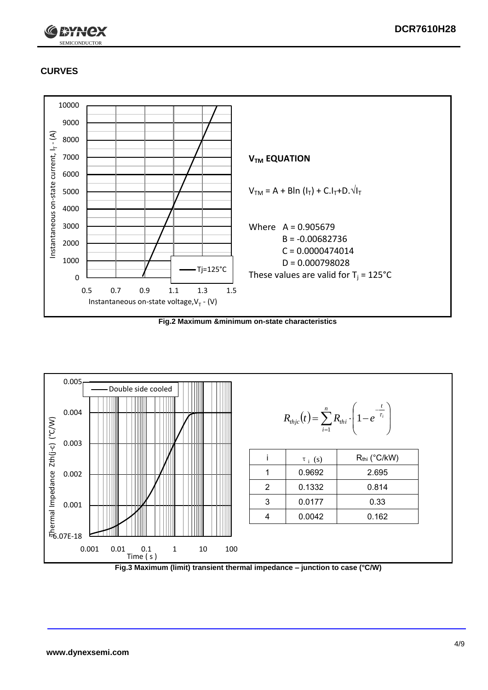

# **CURVES**



**Fig.2 Maximum &minimum on-state characteristics**



**Fig.3 Maximum (limit) transient thermal impedance – junction to case (°C/W)**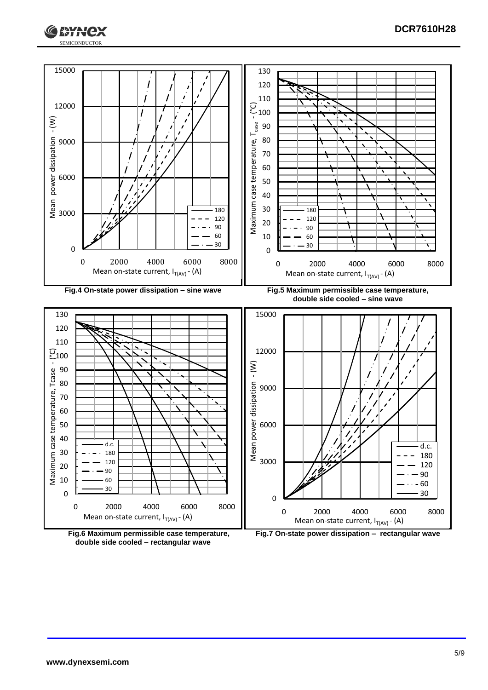





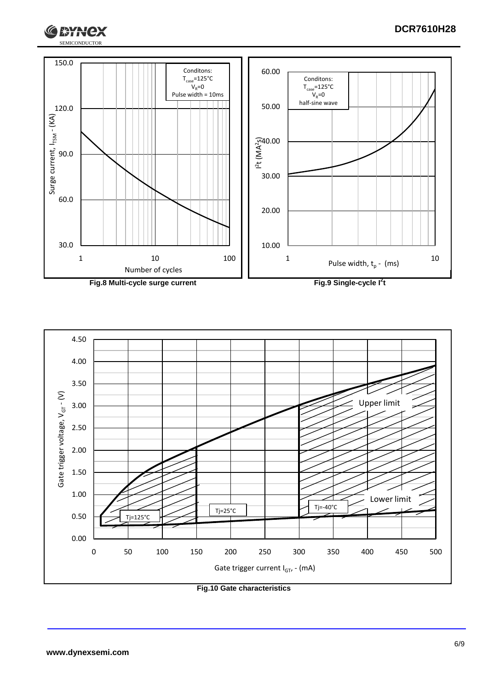





**Fig.10 Gate characteristics**

G

**ГЖАНСХ**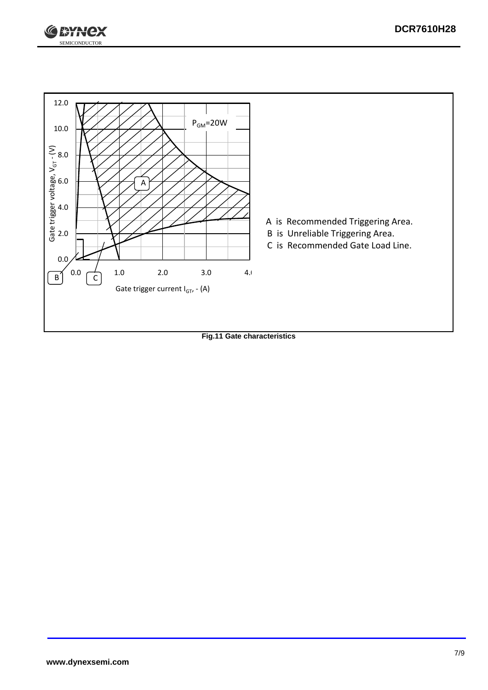



**Fig.11 Gate characteristics**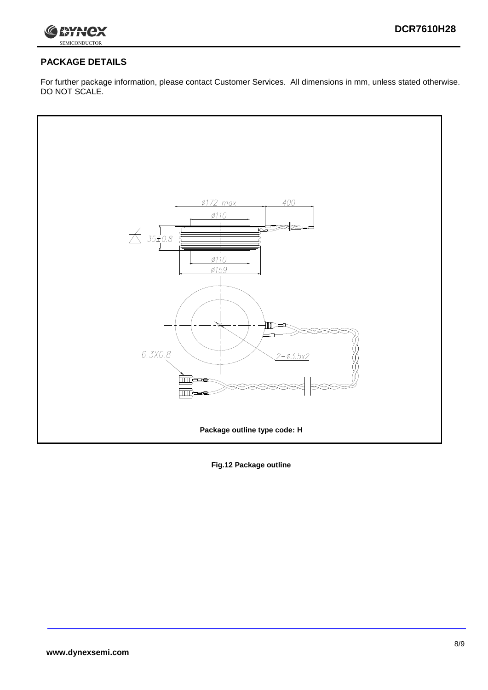

# **PACKAGE DETAILS**

For further package information, please contact Customer Services. All dimensions in mm, unless stated otherwise. DO NOT SCALE.



**Fig.12 Package outline**